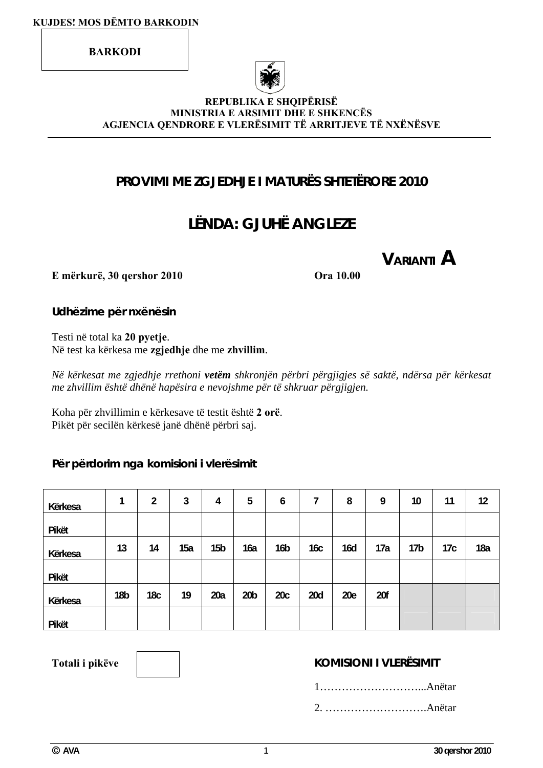**BARKODI** 



#### **REPUBLIKA E SHQIPËRISË MINISTRIA E ARSIMIT DHE E SHKENCËS AGJENCIA QENDRORE E VLERËSIMIT TË ARRITJEVE TË NXËNËSVE**

### **PROVIMI ME ZGJEDHJE I MATURËS SHTETËRORE 2010**

# **LËNDA: GJUHË ANGLEZE**

**VARIANTI A**

**E mërkurë, 30 qershor 2010 Ora 10.00** 

**Udhëzime për nxënësin** 

Testi në total ka **20 pyetje**. Në test ka kërkesa me **zgjedhje** dhe me **zhvillim**.

*Në kërkesat me zgjedhje rrethoni vetëm shkronjën përbri përgjigjes së saktë, ndërsa për kërkesat me zhvillim është dhënë hapësira e nevojshme për të shkruar përgjigjen.* 

Koha për zhvillimin e kërkesave të testit është **2 orë**. Pikët për secilën kërkesë janë dhënë përbri saj.

#### **Për përdorim nga komisioni i vlerësimit**

| Kërkesa | 1               | 2               | 3   | 4               | 5               | 6               | 7   | 8   | 9   | 10              | 11  | 12  |
|---------|-----------------|-----------------|-----|-----------------|-----------------|-----------------|-----|-----|-----|-----------------|-----|-----|
| Pikët   |                 |                 |     |                 |                 |                 |     |     |     |                 |     |     |
| Kërkesa | 13              | 14              | 15a | 15 <sub>b</sub> | 16a             | 16 <sub>b</sub> | 16с | 16d | 17a | 17 <sub>b</sub> | 17c | 18a |
| Pikët   |                 |                 |     |                 |                 |                 |     |     |     |                 |     |     |
| Kërkesa | 18 <sub>b</sub> | 18 <sub>c</sub> | 19  | 20a             | 20 <sub>b</sub> | 20c             | 20d | 20e | 20f |                 |     |     |
| Pikët   |                 |                 |     |                 |                 |                 |     |     |     |                 |     |     |

#### Totali i pikëve **bashmen i komisioni i verit nga matshmen i komisioni i vlerësimit**

1………………………...Anëtar

2. ……………………….Anëtar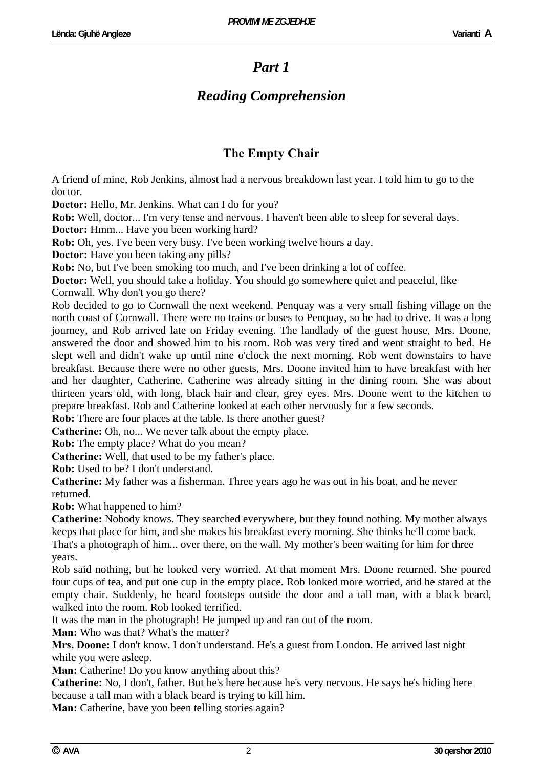## *Part 1*

## *Reading Comprehension*

### **The Empty Chair**

A friend of mine, Rob Jenkins, almost had a nervous breakdown last year. I told him to go to the doctor.

**Doctor:** Hello, Mr. Jenkins. What can I do for you?

**Rob:** Well, doctor... I'm very tense and nervous. I haven't been able to sleep for several days. **Doctor:** Hmm... Have you been working hard?

**Rob:** Oh, yes. I've been very busy. I've been working twelve hours a day.

**Doctor:** Have you been taking any pills?

**Rob:** No, but I've been smoking too much, and I've been drinking a lot of coffee.

**Doctor:** Well, you should take a holiday. You should go somewhere quiet and peaceful, like Cornwall. Why don't you go there?

Rob decided to go to Cornwall the next weekend. Penquay was a very small fishing village on the north coast of Cornwall. There were no trains or buses to Penquay, so he had to drive. It was a long journey, and Rob arrived late on Friday evening. The landlady of the guest house, Mrs. Doone, answered the door and showed him to his room. Rob was very tired and went straight to bed. He slept well and didn't wake up until nine o'clock the next morning. Rob went downstairs to have breakfast. Because there were no other guests, Mrs. Doone invited him to have breakfast with her and her daughter, Catherine. Catherine was already sitting in the dining room. She was about thirteen years old, with long, black hair and clear, grey eyes. Mrs. Doone went to the kitchen to prepare breakfast. Rob and Catherine looked at each other nervously for a few seconds.

**Rob:** There are four places at the table. Is there another guest?

**Catherine:** Oh, no... We never talk about the empty place.

**Rob:** The empty place? What do you mean?

**Catherine:** Well, that used to be my father's place.

**Rob:** Used to be? I don't understand.

**Catherine:** My father was a fisherman. Three years ago he was out in his boat, and he never returned.

**Rob:** What happened to him?

**Catherine:** Nobody knows. They searched everywhere, but they found nothing. My mother always keeps that place for him, and she makes his breakfast every morning. She thinks he'll come back. That's a photograph of him... over there, on the wall. My mother's been waiting for him for three years.

Rob said nothing, but he looked very worried. At that moment Mrs. Doone returned. She poured four cups of tea, and put one cup in the empty place. Rob looked more worried, and he stared at the empty chair. Suddenly, he heard footsteps outside the door and a tall man, with a black beard, walked into the room. Rob looked terrified.

It was the man in the photograph! He jumped up and ran out of the room.

**Man:** Who was that? What's the matter?

**Mrs. Doone:** I don't know. I don't understand. He's a guest from London. He arrived last night while you were asleep.

**Man:** Catherine! Do you know anything about this?

**Catherine:** No, I don't, father. But he's here because he's very nervous. He says he's hiding here because a tall man with a black beard is trying to kill him.

**Man:** Catherine, have you been telling stories again?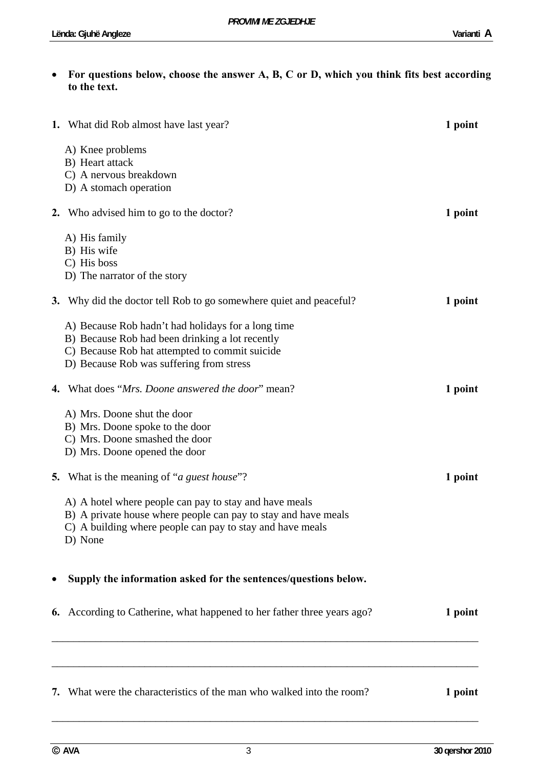| • For questions below, choose the answer $A$ , $B$ , $C$ or $D$ , which you think fits best according |
|-------------------------------------------------------------------------------------------------------|
| to the text.                                                                                          |

|    | 1. What did Rob almost have last year?                                                                                                                                                              | 1 point |
|----|-----------------------------------------------------------------------------------------------------------------------------------------------------------------------------------------------------|---------|
|    | A) Knee problems<br>B) Heart attack<br>C) A nervous breakdown<br>D) A stomach operation                                                                                                             |         |
|    | 2. Who advised him to go to the doctor?                                                                                                                                                             | 1 point |
|    | A) His family<br>B) His wife<br>C) His boss<br>D) The narrator of the story                                                                                                                         |         |
|    | 3. Why did the doctor tell Rob to go somewhere quiet and peaceful?                                                                                                                                  | 1 point |
|    | A) Because Rob hadn't had holidays for a long time<br>B) Because Rob had been drinking a lot recently<br>C) Because Rob hat attempted to commit suicide<br>D) Because Rob was suffering from stress |         |
|    | 4. What does "Mrs. Doone answered the door" mean?                                                                                                                                                   | 1 point |
|    | A) Mrs. Doone shut the door<br>B) Mrs. Doone spoke to the door<br>C) Mrs. Doone smashed the door<br>D) Mrs. Doone opened the door                                                                   |         |
|    | <b>5.</b> What is the meaning of " <i>a guest house</i> "?                                                                                                                                          | 1 point |
|    | A) A hotel where people can pay to stay and have meals<br>B) A private house where people can pay to stay and have meals<br>C) A building where people can pay to stay and have meals<br>D) None    |         |
|    | Supply the information asked for the sentences/questions below.                                                                                                                                     |         |
|    | 6. According to Catherine, what happened to her father three years ago?                                                                                                                             | 1 point |
|    |                                                                                                                                                                                                     |         |
| 7. | What were the characteristics of the man who walked into the room?                                                                                                                                  | 1 point |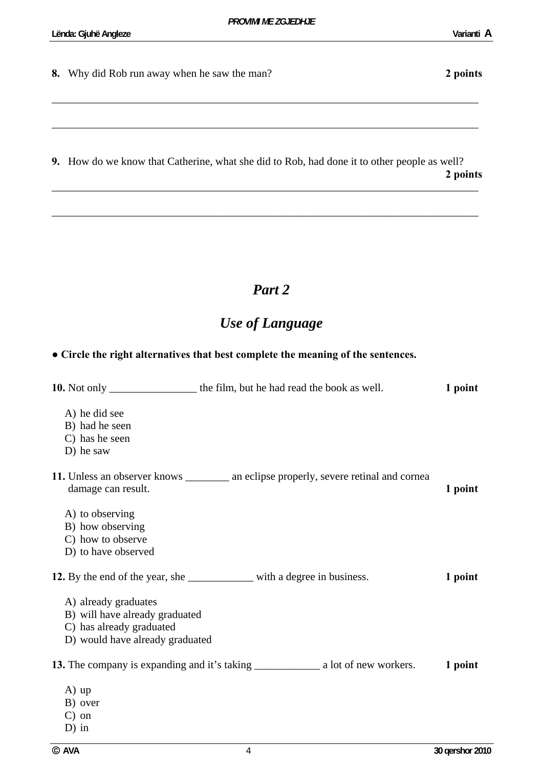**9.** How do we know that Catherine, what she did to Rob, had done it to other people as well? **2 points** \_\_\_\_\_\_\_\_\_\_\_\_\_\_\_\_\_\_\_\_\_\_\_\_\_\_\_\_\_\_\_\_\_\_\_\_\_\_\_\_\_\_\_\_\_\_\_\_\_\_\_\_\_\_\_\_\_\_\_\_\_\_\_\_\_\_\_\_\_\_\_\_\_\_\_\_\_\_

\_\_\_\_\_\_\_\_\_\_\_\_\_\_\_\_\_\_\_\_\_\_\_\_\_\_\_\_\_\_\_\_\_\_\_\_\_\_\_\_\_\_\_\_\_\_\_\_\_\_\_\_\_\_\_\_\_\_\_\_\_\_\_\_\_\_\_\_\_\_\_\_\_\_\_\_\_\_

\_\_\_\_\_\_\_\_\_\_\_\_\_\_\_\_\_\_\_\_\_\_\_\_\_\_\_\_\_\_\_\_\_\_\_\_\_\_\_\_\_\_\_\_\_\_\_\_\_\_\_\_\_\_\_\_\_\_\_\_\_\_\_\_\_\_\_\_\_\_\_\_\_\_\_\_\_\_

\_\_\_\_\_\_\_\_\_\_\_\_\_\_\_\_\_\_\_\_\_\_\_\_\_\_\_\_\_\_\_\_\_\_\_\_\_\_\_\_\_\_\_\_\_\_\_\_\_\_\_\_\_\_\_\_\_\_\_\_\_\_\_\_\_\_\_\_\_\_\_\_\_\_\_\_\_\_

# *Part 2*

# *Use of Language*

**● Circle the right alternatives that best complete the meaning of the sentences.** 

|                                                                                                                       |                                                                                         | 1 point |
|-----------------------------------------------------------------------------------------------------------------------|-----------------------------------------------------------------------------------------|---------|
| A) he did see<br>B) had he seen<br>C) has he seen<br>D) he saw                                                        |                                                                                         |         |
| damage can result.                                                                                                    | 11. Unless an observer knows ___________ an eclipse properly, severe retinal and cornea | 1 point |
| A) to observing<br>B) how observing<br>C) how to observe<br>D) to have observed                                       |                                                                                         |         |
|                                                                                                                       | 12. By the end of the year, she _____________ with a degree in business.                | 1 point |
| A) already graduates<br>B) will have already graduated<br>C) has already graduated<br>D) would have already graduated |                                                                                         |         |
|                                                                                                                       |                                                                                         | 1 point |
| $A)$ up<br>B) over<br>$C$ ) on<br>$D)$ in                                                                             |                                                                                         |         |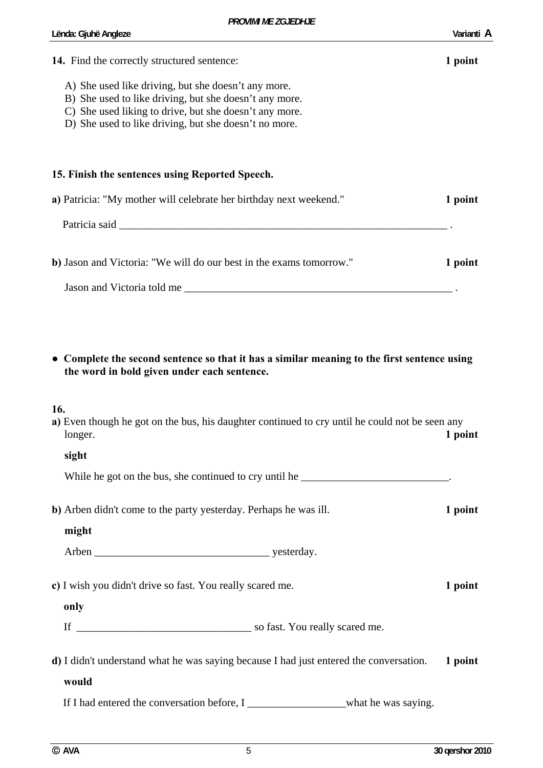Lënda: Gjuhë Angleze Varianti A

| 14. Find the correctly structured sentence:                                                                                                                                                                                      | 1 point |
|----------------------------------------------------------------------------------------------------------------------------------------------------------------------------------------------------------------------------------|---------|
| A) She used like driving, but she doesn't any more.<br>B) She used to like driving, but she doesn't any more.<br>C) She used liking to drive, but she doesn't any more.<br>D) She used to like driving, but she doesn't no more. |         |
| 15. Finish the sentences using Reported Speech.                                                                                                                                                                                  |         |
| a) Patricia: "My mother will celebrate her birthday next weekend."                                                                                                                                                               | 1 point |
|                                                                                                                                                                                                                                  |         |
| b) Jason and Victoria: "We will do our best in the exams tomorrow."                                                                                                                                                              | 1 point |
| Jason and Victoria told me                                                                                                                                                                                                       |         |
| 16.<br>a) Even though he got on the bus, his daughter continued to cry until he could not be seen any<br>longer.                                                                                                                 | 1 point |
| sight                                                                                                                                                                                                                            |         |
| While he got on the bus, she continued to cry until he __________________________.                                                                                                                                               |         |
| b) Arben didn't come to the party yesterday. Perhaps he was ill.                                                                                                                                                                 | 1 point |
| might                                                                                                                                                                                                                            |         |
|                                                                                                                                                                                                                                  |         |
| c) I wish you didn't drive so fast. You really scared me.<br>only                                                                                                                                                                | 1 point |
|                                                                                                                                                                                                                                  |         |
| d) I didn't understand what he was saying because I had just entered the conversation.<br>would                                                                                                                                  | 1 point |
| If I had entered the conversation before, I _________________________what he was saying.                                                                                                                                         |         |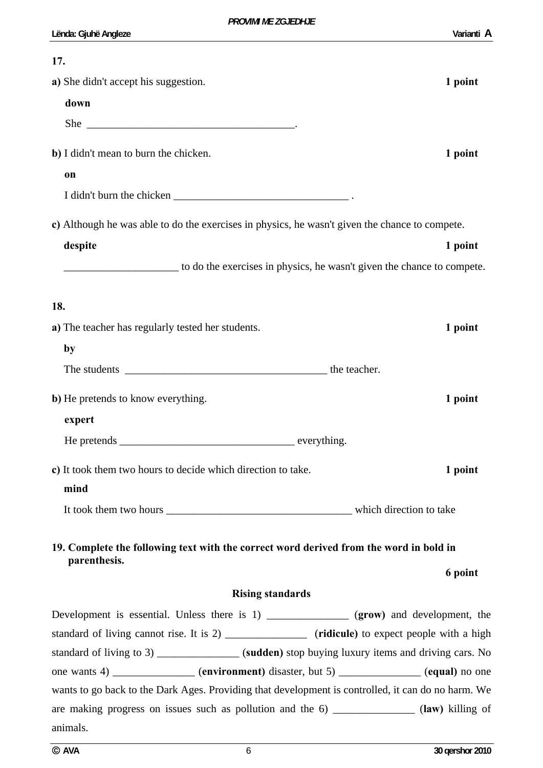| 17.                                                                                                    |         |
|--------------------------------------------------------------------------------------------------------|---------|
| a) She didn't accept his suggestion.                                                                   | 1 point |
| down                                                                                                   |         |
|                                                                                                        |         |
| <b>b</b> ) I didn't mean to burn the chicken.                                                          | 1 point |
| on                                                                                                     |         |
|                                                                                                        |         |
| c) Although he was able to do the exercises in physics, he wasn't given the chance to compete.         |         |
| despite                                                                                                | 1 point |
| to do the exercises in physics, he wasn't given the chance to compete.                                 |         |
| 18.                                                                                                    |         |
| a) The teacher has regularly tested her students.                                                      | 1 point |
| by                                                                                                     |         |
|                                                                                                        |         |
| <b>b</b> ) He pretends to know everything.                                                             | 1 point |
| expert                                                                                                 |         |
|                                                                                                        |         |
| c) It took them two hours to decide which direction to take.                                           | 1 point |
| mind                                                                                                   |         |
|                                                                                                        |         |
| 19. Complete the following text with the correct word derived from the word in bold in<br>parenthesis. |         |
|                                                                                                        | 6 point |
| <b>Rising standards</b>                                                                                |         |
| Development is essential. Unless there is 1) ____________ (grow) and development, the                  |         |
| standard of living cannot rise. It is 2) _______________ (ridicule) to expect people with a high       |         |
| standard of living to 3) ______________(sudden) stop buying luxury items and driving cars. No          |         |
| one wants 4) _____________ (environment) disaster, but 5) ___________ (equal) no one                   |         |
| wants to go back to the Dark Ages. Providing that development is controlled, it can do no harm. We     |         |
| are making progress on issues such as pollution and the 6) ____________ (law) killing of               |         |
| animals.                                                                                               |         |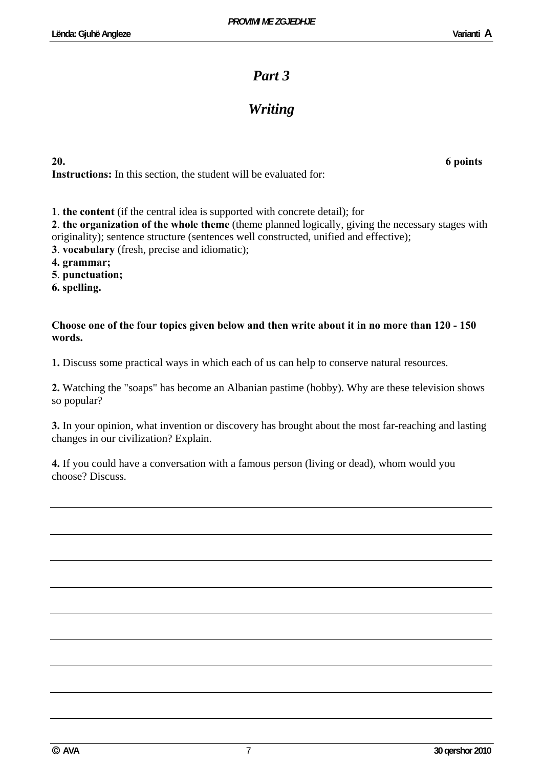### *Part 3*

## *Writing*

**20. 6 points Instructions:** In this section, the student will be evaluated for:

**1**. **the content** (if the central idea is supported with concrete detail); for

**2**. **the organization of the whole theme** (theme planned logically, giving the necessary stages with originality); sentence structure (sentences well constructed, unified and effective);

**3**. **vocabulary** (fresh, precise and idiomatic);

**4. grammar;**

**5**. **punctuation;** 

**6. spelling.** 

**Choose one of the four topics given below and then write about it in no more than 120 - 150 words.** 

**1.** Discuss some practical ways in which each of us can help to conserve natural resources.

**2.** Watching the "soaps" has become an Albanian pastime (hobby). Why are these television shows so popular?

**3.** In your opinion, what invention or discovery has brought about the most far-reaching and lasting changes in our civilization? Explain.

**4.** If you could have a conversation with a famous person (living or dead), whom would you choose? Discuss.